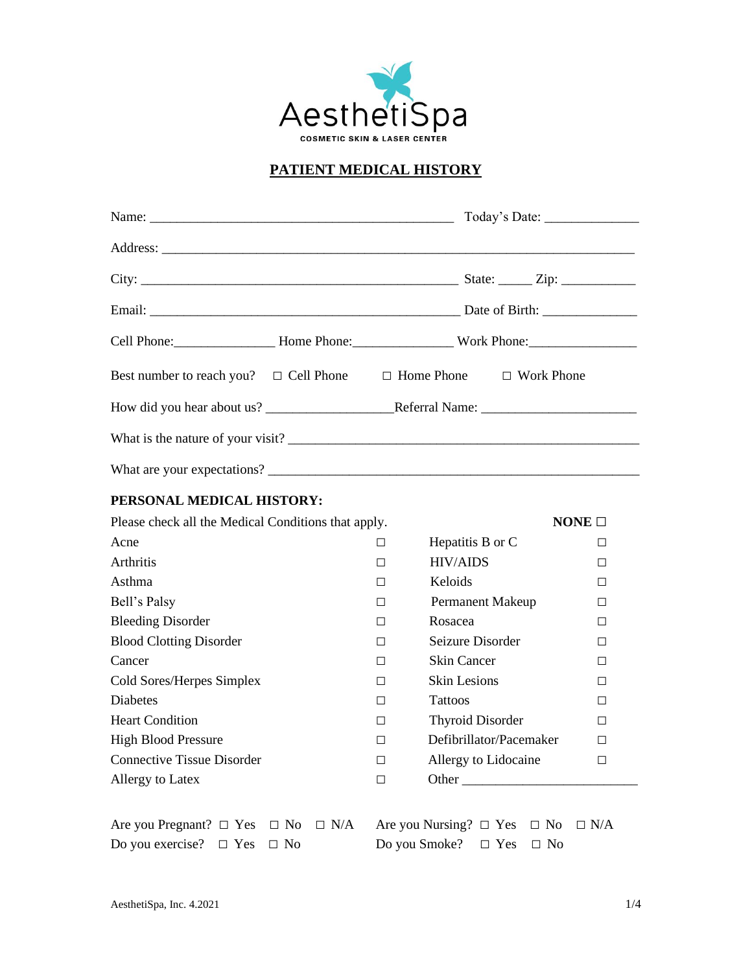

# **PATIENT MEDICAL HISTORY**

| Best number to reach you?  □ Cell Phone  □ Home Phone  □ Work Phone |        |                                          |            |
|---------------------------------------------------------------------|--------|------------------------------------------|------------|
|                                                                     |        |                                          |            |
|                                                                     |        |                                          |            |
|                                                                     |        |                                          |            |
| PERSONAL MEDICAL HISTORY:                                           |        |                                          |            |
| Please check all the Medical Conditions that apply.                 |        | NONE $\Box$                              |            |
| Acne                                                                | $\Box$ | Hepatitis B or C                         | $\Box$     |
| Arthritis                                                           | П      | <b>HIV/AIDS</b>                          | $\Box$     |
| Asthma                                                              | П.     | Keloids                                  | П.         |
| Bell's Palsy                                                        | $\Box$ | Permanent Makeup                         | $\Box$     |
| <b>Bleeding Disorder</b>                                            | $\Box$ | Rosacea                                  | $\Box$     |
| <b>Blood Clotting Disorder</b>                                      | П.     | Seizure Disorder                         | $\Box$     |
| Cancer                                                              | П.     | <b>Skin Cancer</b>                       | $\Box$     |
| Cold Sores/Herpes Simplex                                           | $\Box$ | <b>Skin Lesions</b>                      | $\Box$     |
| <b>Diabetes</b>                                                     | $\Box$ | <b>Tattoos</b>                           | $\Box$     |
| <b>Heart Condition</b>                                              | П.     | <b>Thyroid Disorder</b>                  | $\Box$     |
| <b>High Blood Pressure</b>                                          | П.     | Defibrillator/Pacemaker                  | □          |
| <b>Connective Tissue Disorder</b>                                   | $\Box$ | Allergy to Lidocaine                     | $\Box$     |
| Allergy to Latex                                                    | $\Box$ | Other                                    |            |
| Are you Pregnant? $\Box$ Yes $\Box$ No $\Box$ N/A                   |        | Are you Nursing? $\Box$ Yes $\Box$ No    | $\Box$ N/A |
| Do you exercise? $\square$ Yes<br>$\Box$ No                         |        | Do you Smoke?<br>$\Box$ Yes<br>$\Box$ No |            |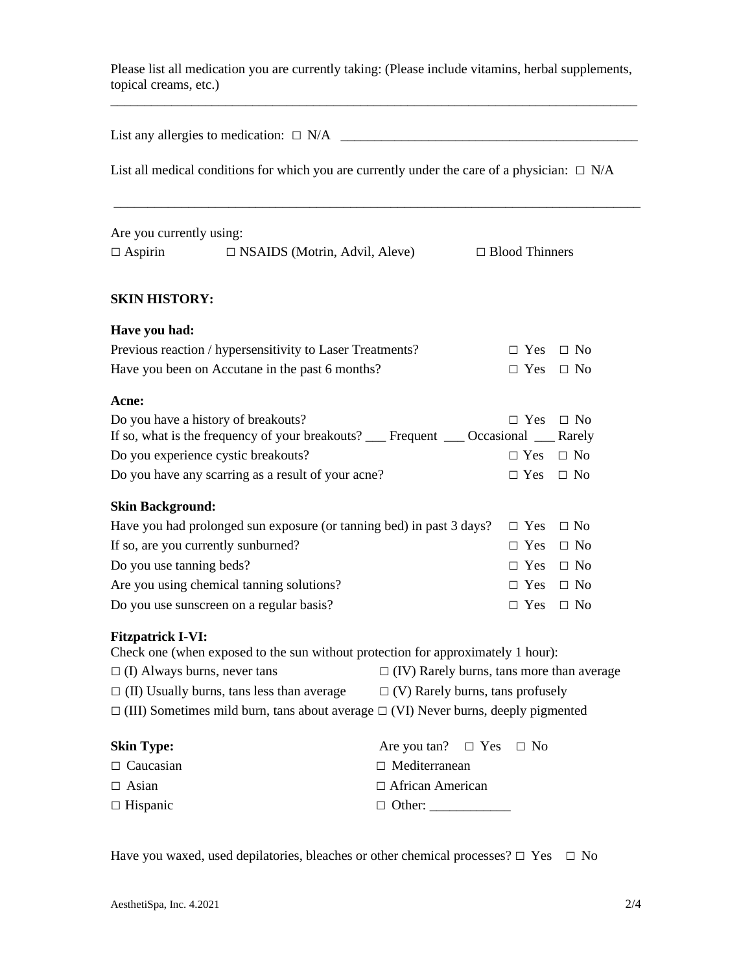Please list all medication you are currently taking: (Please include vitamins, herbal supplements, topical creams, etc.)

List any allergies to medication: □ N/A \_\_\_\_\_\_\_\_\_\_\_\_\_\_\_\_\_\_\_\_\_\_\_\_\_\_\_\_\_\_\_\_\_\_\_\_\_\_\_\_\_\_\_\_

List all medical conditions for which you are currently under the care of a physician:  $\Box$  N/A

\_\_\_\_\_\_\_\_\_\_\_\_\_\_\_\_\_\_\_\_\_\_\_\_\_\_\_\_\_\_\_\_\_\_\_\_\_\_\_\_\_\_\_\_\_\_\_\_\_\_\_\_\_\_\_\_\_\_\_\_\_\_\_\_\_\_\_\_\_\_\_\_\_\_\_\_\_\_

| Are you currently using: |                                      |                       |
|--------------------------|--------------------------------------|-----------------------|
| $\Box$ Aspirin           | $\Box$ NSAIDS (Motrin, Advil, Aleve) | $\Box$ Blood Thinners |

## **SKIN HISTORY:**

## **Have you had:**

| Previous reaction / hypersensitivity to Laser Treatments? | $\Box$ Yes $\Box$ No |  |
|-----------------------------------------------------------|----------------------|--|
| Have you been on Accutane in the past 6 months?           | $\Box$ Yes $\Box$ No |  |

#### **Acne:**

| Do you have a history of breakouts?                                                  | $\Box$ Yes $\Box$ No |  |
|--------------------------------------------------------------------------------------|----------------------|--|
| If so, what is the frequency of your breakouts? Comment Containing Containing Rarely |                      |  |
| Do you experience cystic breakouts?                                                  | $\Box$ Yes $\Box$ No |  |
| Do you have any scarring as a result of your acne?                                   | $\Box$ Yes $\Box$ No |  |

## **Skin Background:**

| Have you had prolonged sun exposure (or tanning bed) in past 3 days? $\square$ Yes $\square$ No |                      |  |
|-------------------------------------------------------------------------------------------------|----------------------|--|
| If so, are you currently sunburned?                                                             | $\Box$ Yes $\Box$ No |  |
| Do you use tanning beds?                                                                        | $\Box$ Yes $\Box$ No |  |
| Are you using chemical tanning solutions?                                                       | $\Box$ Yes $\Box$ No |  |
| Do you use sunscreen on a regular basis?                                                        | $\Box$ Yes $\Box$ No |  |

#### **Fitzpatrick I-VI:**

| Check one (when exposed to the sun without protection for approximately 1 hour):               |                                                  |
|------------------------------------------------------------------------------------------------|--------------------------------------------------|
| $\Box$ (I) Always burns, never tans                                                            | $\Box$ (IV) Rarely burns, tans more than average |
| $\Box$ (II) Usually burns, tans less than average $\Box$ (V) Rarely burns, tans profusely      |                                                  |
| $\Box$ (III) Sometimes mild burn, tans about average $\Box$ (VI) Never burns, deeply pigmented |                                                  |
| <b>Skin Type:</b>                                                                              | Are you tan? $\square$ Yes $\square$ No          |
| $\Box$ Caucasian                                                                               | $\Box$ Mediterranean                             |
| $\Box$ Asian                                                                                   | $\Box$ African American                          |
| $\Box$ Hispanic                                                                                | $\Box$ Other:                                    |

Have you waxed, used depilatories, bleaches or other chemical processes?  $\Box$  Yes  $\Box$  No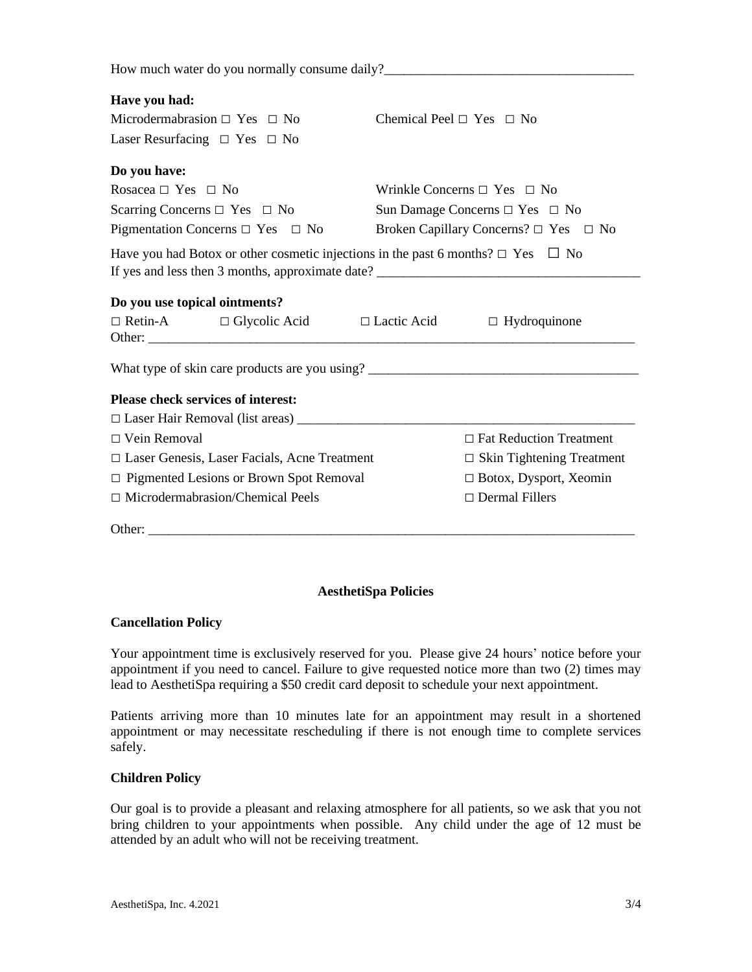How much water do you normally consume daily?

## **Have you had:**

| Microdermabrasion $\Box$ Yes $\Box$ No | Chemical Peel $\Box$ Yes $\Box$ No |
|----------------------------------------|------------------------------------|
| Laser Resurfacing $\Box$ Yes $\Box$ No |                                    |

### **Do you have:**

| Rosacea $\Box$ Yes $\Box$ No               | Wrinkle Concerns $\Box$ Yes $\Box$ No           |
|--------------------------------------------|-------------------------------------------------|
| Scarring Concerns $\Box$ Yes $\Box$ No     | Sun Damage Concerns $\Box$ Yes $\Box$ No        |
| Pigmentation Concerns $\Box$ Yes $\Box$ No | Broken Capillary Concerns? $\Box$ Yes $\Box$ No |

Have you had Botox or other cosmetic injections in the past 6 months?  $\Box$  Yes  $\Box$  No If yes and less then 3 months, approximate date?

|                     | Do you use topical ointments?                       |                    |                                  |
|---------------------|-----------------------------------------------------|--------------------|----------------------------------|
|                     | $\Box$ Retin-A $\Box$ Glycolic Acid                 | $\Box$ Lactic Acid | $\Box$ Hydroquinone              |
|                     |                                                     |                    |                                  |
|                     | What type of skin care products are you using?      |                    |                                  |
|                     | <b>Please check services of interest:</b>           |                    |                                  |
|                     | $\Box$ Laser Hair Removal (list areas) $\Box$       |                    |                                  |
| $\Box$ Vein Removal |                                                     |                    | $\Box$ Fat Reduction Treatment   |
|                     | $\Box$ Laser Genesis, Laser Facials, Acne Treatment |                    | $\Box$ Skin Tightening Treatment |
|                     | $\Box$ Pigmented Lesions or Brown Spot Removal      |                    | $\Box$ Botox, Dysport, Xeomin    |
|                     | $\Box$ Microdermabrasion/Chemical Peels             |                    | $\Box$ Dermal Fillers            |
| Other:              |                                                     |                    |                                  |

## **AesthetiSpa Policies**

## **Cancellation Policy**

Your appointment time is exclusively reserved for you. Please give 24 hours' notice before your appointment if you need to cancel. Failure to give requested notice more than two (2) times may lead to AesthetiSpa requiring a \$50 credit card deposit to schedule your next appointment.

Patients arriving more than 10 minutes late for an appointment may result in a shortened appointment or may necessitate rescheduling if there is not enough time to complete services safely.

## **Children Policy**

Our goal is to provide a pleasant and relaxing atmosphere for all patients, so we ask that you not bring children to your appointments when possible. Any child under the age of 12 must be attended by an adult who will not be receiving treatment.